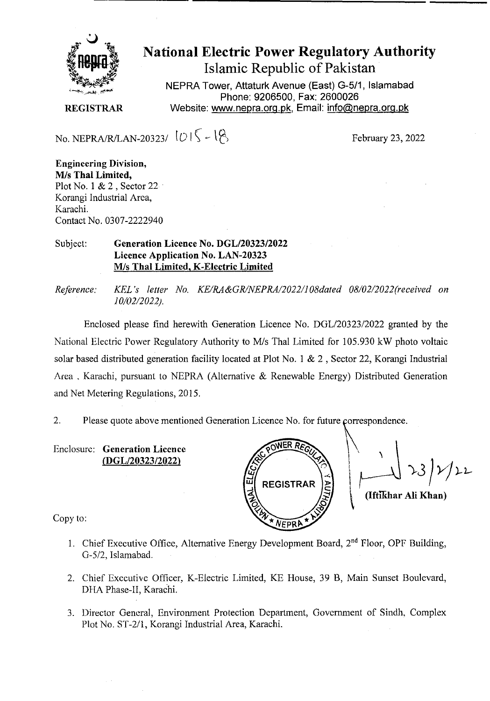

National Electric Power Regulatory Authority Islamic Republic of Pakistan

**NEPRA Tower, Attaturk Avenue (East) 0-5/1, Islamabad Phone: 9206500, Fax: 2600026 REGISTRAR** Website: www.nepra.org.pk, Email: info@nepra.org.pk

No. NEPRA/R/LAN-20323/  $|U|\zeta - \zeta|$ 

**Engineering Division,**  M/s **Thai Limited,**  Plot No. 1  $& 2$ , Sector 22 Korangi Industrial Area, Karachi. Contact No. 0307-2222940

## Subject: **Generation Licence No. DGL/20323/2022 Licence Application No. LAN-20323**  M/s **Thai Limited, K-Electric Limited**

Enclosed please find herewith Generation Licence No. DGL/20323/2022 granted by the National Electric Power Regulatory Authority to *MIs* Thal Limited for 105.930 kW photo voltaic solar based distributed generation facility located at Plot No. 1 & 2 , Sector 22, Korangi Industrial Area, Karachi, pursuant to NEPRA (Alternative  $\&$  Renewable Energy) Distributed Generation and Net Metering Regulations, 2015.

2. Please quote above mentioned Generation Licence No. for future çorrespondence.

Enclosure: **Generation Licence**  *(DGLI2O323/2O . j* 



**(Iftikhar Au Khan)** 

Copy to:

- 1. Chief Executive Office, Alternative Energy Development Board,  $2<sup>nd</sup>$  Floor, OPF Building, G-512. Islamabad.
- 2. Chief Executive Officer, K-Electric Limited, KE House, 39 B, Main Sunset Boulevard, DHA Phase-IT, Karachi.
- 3. Director General, Environment Protection Department, Government of Sindh, Complex Plot No. ST-2/1, Korangi Industrial Area, Karachi.

*Reference: KEL 's letter No. KE/RA&GR/NEPRA/2022/108daed 08/02/2022"received on 10/02/2022).*